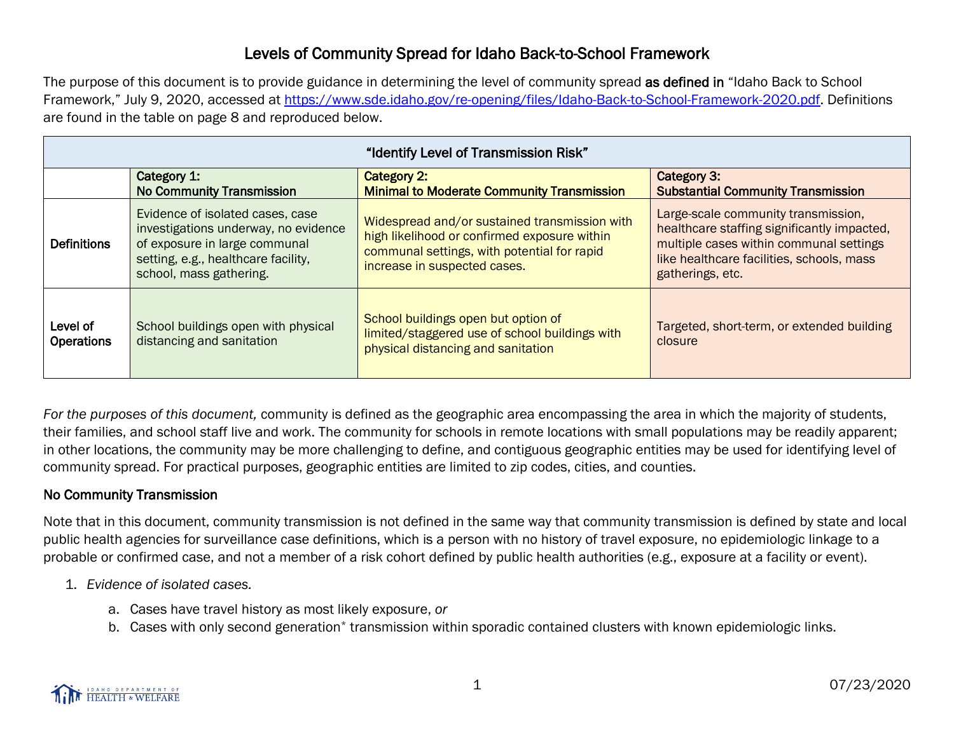## Levels of Community Spread for Idaho Back-to-School Framework

The purpose of this document is to provide guidance in determining the level of community spread as defined in "Idaho Back to School" Framework," July 9, 2020, accessed at [https://www.sde.idaho.gov/re-opening/files/Idaho-Back-to-School-Framework-2020.pdf.](https://www.sde.idaho.gov/re-opening/files/Idaho-Back-to-School-Framework-2020.pdf) Definitions are found in the table on page 8 and reproduced below.

| "Identify Level of Transmission Risk" |                                                                                                                                                                             |                                                                                                                                                                              |                                                                                                                                                                                                |
|---------------------------------------|-----------------------------------------------------------------------------------------------------------------------------------------------------------------------------|------------------------------------------------------------------------------------------------------------------------------------------------------------------------------|------------------------------------------------------------------------------------------------------------------------------------------------------------------------------------------------|
|                                       | Category 1:<br><b>No Community Transmission</b>                                                                                                                             | Category 2:<br><b>Minimal to Moderate Community Transmission</b>                                                                                                             | Category 3:<br><b>Substantial Community Transmission</b>                                                                                                                                       |
| <b>Definitions</b>                    | Evidence of isolated cases, case<br>investigations underway, no evidence<br>of exposure in large communal<br>setting, e.g., healthcare facility,<br>school, mass gathering. | Widespread and/or sustained transmission with<br>high likelihood or confirmed exposure within<br>communal settings, with potential for rapid<br>increase in suspected cases. | Large-scale community transmission,<br>healthcare staffing significantly impacted,<br>multiple cases within communal settings<br>like healthcare facilities, schools, mass<br>gatherings, etc. |
| Level of<br><b>Operations</b>         | School buildings open with physical<br>distancing and sanitation                                                                                                            | School buildings open but option of<br>limited/staggered use of school buildings with<br>physical distancing and sanitation                                                  | Targeted, short-term, or extended building<br>closure                                                                                                                                          |

*For the purposes of this document,* community is defined as the geographic area encompassing the area in which the majority of students, their families, and school staff live and work. The community for schools in remote locations with small populations may be readily apparent; in other locations, the community may be more challenging to define, and contiguous geographic entities may be used for identifying level of community spread. For practical purposes, geographic entities are limited to zip codes, cities, and counties.

## No Community Transmission

Note that in this document, community transmission is not defined in the same way that community transmission is defined by state and local public health agencies for surveillance case definitions, which is a person with no history of travel exposure, no epidemiologic linkage to a probable or confirmed case, and not a member of a risk cohort defined by public health authorities (e.g., exposure at a facility or event).

- 1. *Evidence of isolated cases.*
	- a. Cases have travel history as most likely exposure, *or*
	- b. Cases with only second generation\* transmission within sporadic contained clusters with known epidemiologic links.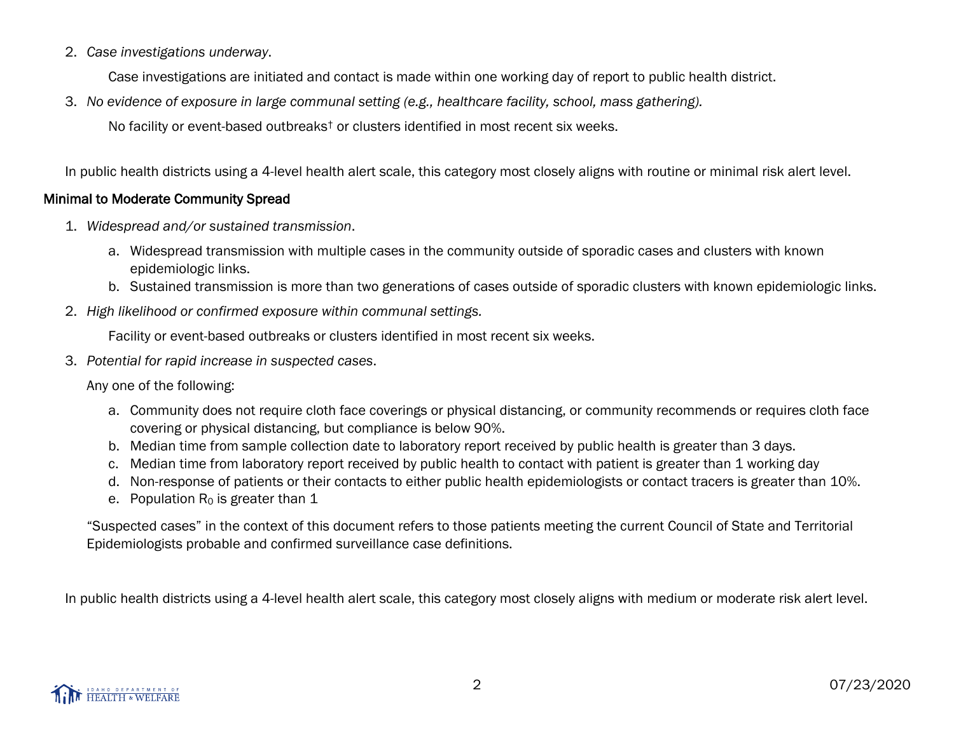2. *Case investigations underway*.

Case investigations are initiated and contact is made within one working day of report to public health district.

3. *No evidence of exposure in large communal setting (e.g., healthcare facility, school, mass gathering).*

No facility or event-based outbreaks† or clusters identified in most recent six weeks.

In public health districts using a 4-level health alert scale, this category most closely aligns with routine or minimal risk alert level.

## Minimal to Moderate Community Spread

- 1. *Widespread and/or sustained transmission*.
	- a. Widespread transmission with multiple cases in the community outside of sporadic cases and clusters with known epidemiologic links.
	- b. Sustained transmission is more than two generations of cases outside of sporadic clusters with known epidemiologic links.
- 2. *High likelihood or confirmed exposure within communal settings.*

Facility or event-based outbreaks or clusters identified in most recent six weeks.

3. *Potential for rapid increase in suspected cases*.

Any one of the following:

- a. Community does not require cloth face coverings or physical distancing, or community recommends or requires cloth face covering or physical distancing, but compliance is below 90%.
- b. Median time from sample collection date to laboratory report received by public health is greater than 3 days.
- c. Median time from laboratory report received by public health to contact with patient is greater than 1 working day
- d. Non-response of patients or their contacts to either public health epidemiologists or contact tracers is greater than 10%.
- e. Population  $R_0$  is greater than 1

"Suspected cases" in the context of this document refers to those patients meeting the current Council of State and Territorial Epidemiologists probable and confirmed surveillance case definitions.

In public health districts using a 4-level health alert scale, this category most closely aligns with medium or moderate risk alert level.